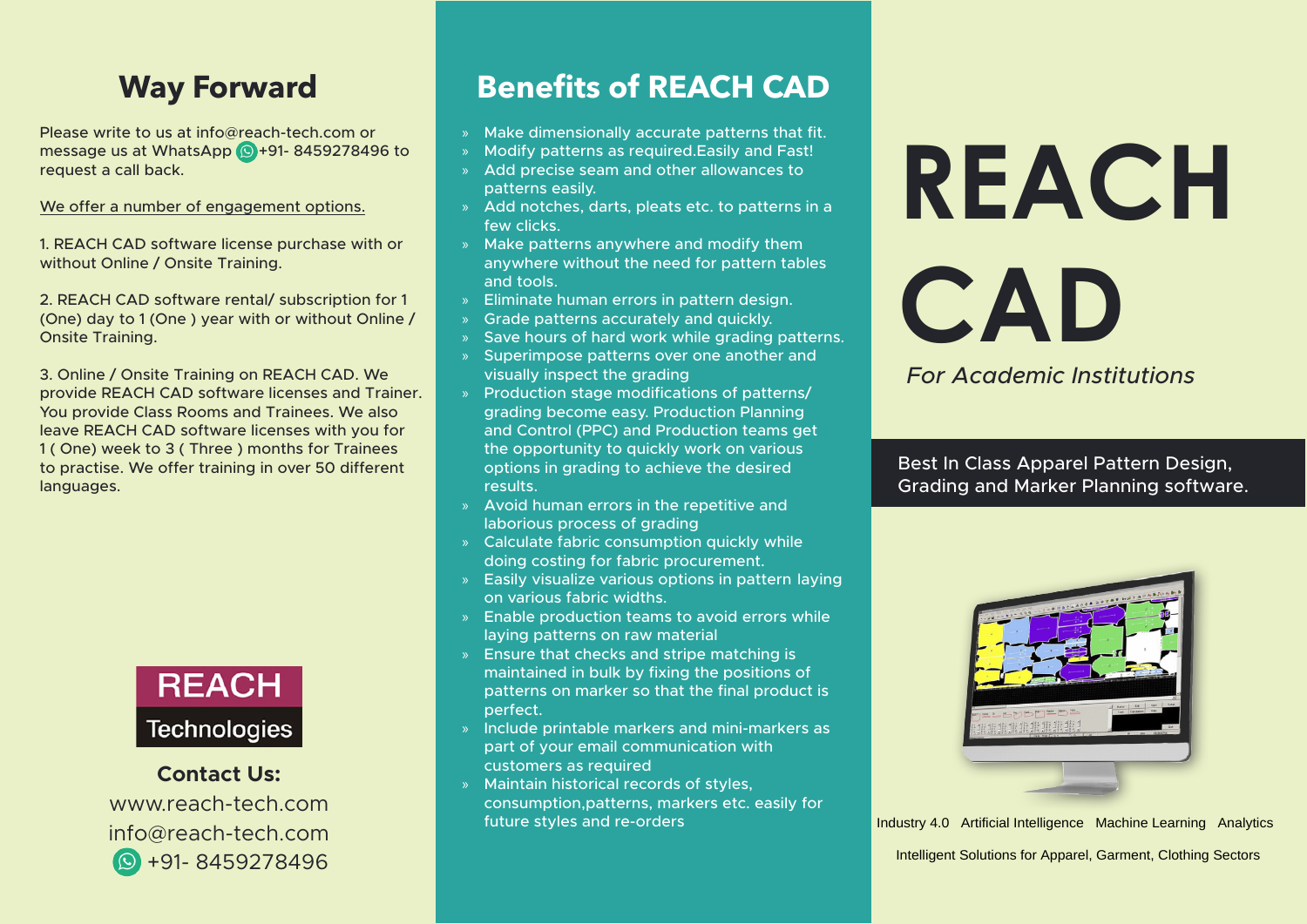### **Way Forward**

Please write to us at info  $@$  reach-tech.com or message us at WhatsApp  $\odot$  +91- 8459278496 to request a call back.

We offer a number of engagement options.

1. REACH CAD software license purchase with or without Online / Onsite Training.

2. REACH CAD software rental/ subscription for 1 (One) day to 1 (One) year with or without Online / **Onsite Training.** 

3. Online / Onsite Training on REACH CAD. We provide REACH CAD software licenses and Trainer. You provide Class Rooms and Trainees. We also leave REACH CAD software licenses with you for 1 (One) week to 3 (Three ) months for Trainees to practise. We offer training in over 50 different languages.



**Contact Us:** www.reach-tech.com  $info@reach-tech.com$ 8459278496 +91-

## **Benefits of REACH CAD**

- » Make dimensionally accurate patterns that fit.
- » Modify patterns as required. Easily and Fast!
- » Add precise seam and other allowances to patterns easily.
- » Add notches, darts, pleats etc, to patterns in a few clicks.
- $\lambda$  Make patterns anywhere and modify them anywhere without the need for pattern tables and tools.
- » Eliminate human errors in pattern design.
- » Grade patterns accurately and quickly.
- » Save hours of hard work while grading patterns.
- » Superimpose patterns over one another and visually inspect the grading
- » Production stage modifications of patterns/ grading become easy. Production Planning and Control (PPC) and Production teams get the opportunity to quickly work on various options in grading to achieve the desired .results
- » Avoid human errors in the repetitive and laborious process of grading
- » Calculate fabric consumption quickly while doing costing for fabric procurement.
- » Easily visualize various options in pattern laying on various fabric widths.
- » Enable production teams to avoid errors while laying patterns on raw material
- $\mathcal{S}$  Ensure that checks and stripe matching is maintained in bulk by fixing the positions of patterns on marker so that the final product is .perfect
- » Include printable markers and mini-markers as part of your email communication with customers as required
- » Maintain historical records of styles, consumption, patterns, markers etc. easily for future styles and re-orders

# **REACH CAD**

*Institutions Academic For*

Best In Class Apparel Pattern Design, Grading and Marker Planning software.



Industry 4.0 Artificial Intelligence Machine Learning Analytics

Intelligent Solutions for Apparel, Garment, Clothing Sectors